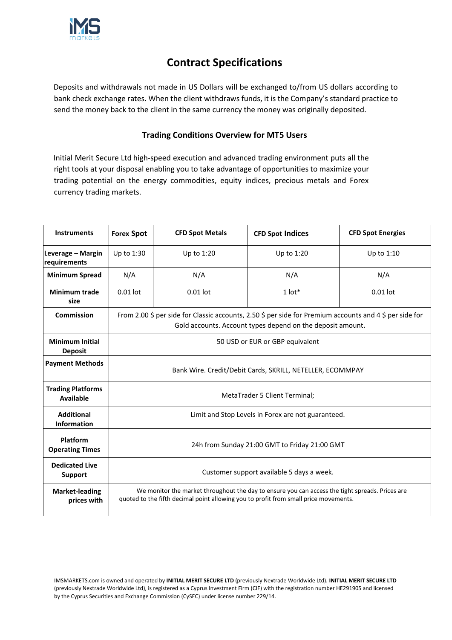

# **Contract Specifications**

Deposits and withdrawals not made in US Dollars will be exchanged to/from US dollars according to bank check exchange rates. When the client withdraws funds, it is the Company's standard practice to send the money back to the client in the same currency the money was originally deposited.

# **Trading Conditions Overview for MT5 Users**

Initial Merit Secure Ltd high-speed execution and advanced trading environment puts all the right tools at your disposal enabling you to take advantage of opportunities to maximize your trading potential on the energy commodities, equity indices, precious metals and Forex currency trading markets.

| <b>Instruments</b>                           | <b>Forex Spot</b>                                                                                                                                                                       | <b>CFD Spot Metals</b>                                                                                  | <b>CFD Spot Indices</b>                                    | <b>CFD Spot Energies</b> |  |  |  |  |
|----------------------------------------------|-----------------------------------------------------------------------------------------------------------------------------------------------------------------------------------------|---------------------------------------------------------------------------------------------------------|------------------------------------------------------------|--------------------------|--|--|--|--|
| Leverage - Margin<br>requirements            | Up to 1:30                                                                                                                                                                              | Up to 1:20                                                                                              | Up to 1:20                                                 | Up to 1:10               |  |  |  |  |
| <b>Minimum Spread</b>                        | N/A                                                                                                                                                                                     | N/A                                                                                                     | N/A                                                        | N/A                      |  |  |  |  |
| <b>Minimum trade</b><br>size                 | $0.01$ lot                                                                                                                                                                              | $0.01$ lot                                                                                              | $1$ lot*                                                   | $0.01$ lot               |  |  |  |  |
| Commission                                   |                                                                                                                                                                                         | From 2.00 \$ per side for Classic accounts, 2.50 \$ per side for Premium accounts and 4 \$ per side for | Gold accounts. Account types depend on the deposit amount. |                          |  |  |  |  |
| <b>Minimum Initial</b><br><b>Deposit</b>     |                                                                                                                                                                                         | 50 USD or EUR or GBP equivalent                                                                         |                                                            |                          |  |  |  |  |
| <b>Payment Methods</b>                       | Bank Wire. Credit/Debit Cards, SKRILL, NETELLER, ECOMMPAY                                                                                                                               |                                                                                                         |                                                            |                          |  |  |  |  |
| <b>Trading Platforms</b><br><b>Available</b> | MetaTrader 5 Client Terminal;                                                                                                                                                           |                                                                                                         |                                                            |                          |  |  |  |  |
| <b>Additional</b><br><b>Information</b>      | Limit and Stop Levels in Forex are not guaranteed.                                                                                                                                      |                                                                                                         |                                                            |                          |  |  |  |  |
| Platform<br><b>Operating Times</b>           | 24h from Sunday 21:00 GMT to Friday 21:00 GMT                                                                                                                                           |                                                                                                         |                                                            |                          |  |  |  |  |
| <b>Dedicated Live</b><br><b>Support</b>      | Customer support available 5 days a week.                                                                                                                                               |                                                                                                         |                                                            |                          |  |  |  |  |
| <b>Market-leading</b><br>prices with         | We monitor the market throughout the day to ensure you can access the tight spreads. Prices are<br>quoted to the fifth decimal point allowing you to profit from small price movements. |                                                                                                         |                                                            |                          |  |  |  |  |

IMSMARKETS.com is owned and operated by **INITIAL MERIT SECURE LTD** (previously Nextrade Worldwide Ltd). **INITIAL MERIT SECURE LTD** (previously Nextrade Worldwide Ltd), is registered as a Cyprus Investment Firm (CIF) with the registration number HE291905 and licensed by the Cyprus Securities and Exchange Commission (CySEC) under license number 229/14.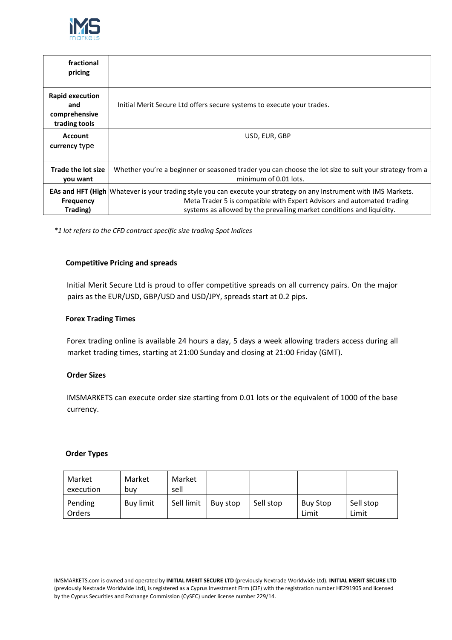

| fractional<br>pricing                                           |                                                                                                                                                                                                                                                                              |
|-----------------------------------------------------------------|------------------------------------------------------------------------------------------------------------------------------------------------------------------------------------------------------------------------------------------------------------------------------|
| <b>Rapid execution</b><br>and<br>comprehensive<br>trading tools | Initial Merit Secure Ltd offers secure systems to execute your trades.                                                                                                                                                                                                       |
| <b>Account</b><br>currency type                                 | USD, EUR, GBP                                                                                                                                                                                                                                                                |
| <b>Trade the lot size</b><br>you want                           | Whether you're a beginner or seasoned trader you can choose the lot size to suit your strategy from a<br>minimum of 0.01 lots.                                                                                                                                               |
| <b>Frequency</b><br>Trading)                                    | <b>EAs and HFT (High</b> Whatever is your trading style you can execute your strategy on any Instrument with IMS Markets.<br>Meta Trader 5 is compatible with Expert Advisors and automated trading<br>systems as allowed by the prevailing market conditions and liquidity. |

*\*1 lot refers to the CFD contract specific size trading Spot Indices*

## **Competitive Pricing and spreads**

Initial Merit Secure Ltd is proud to offer competitive spreads on all currency pairs. On the major pairs as the EUR/USD, GBP/USD and USD/JPY, spreads start at 0.2 pips.

#### **Forex Trading Times**

Forex trading online is available 24 hours a day, 5 days a week allowing traders access during all market trading times, starting at 21:00 Sunday and closing at 21:00 Friday (GMT).

#### **Order Sizes**

IMSMARKETS can execute order size starting from 0.01 lots or the equivalent of 1000 of the base currency.

#### **Order Types**

| Market<br>execution      | Market<br>buv    | Market<br>sell |          |           |                          |                    |
|--------------------------|------------------|----------------|----------|-----------|--------------------------|--------------------|
| Pending<br><b>Orders</b> | <b>Buy limit</b> | Sell limit     | Buy stop | Sell stop | <b>Buy Stop</b><br>Limit | Sell stop<br>Limit |

IMSMARKETS.com is owned and operated by **INITIAL MERIT SECURE LTD** (previously Nextrade Worldwide Ltd). **INITIAL MERIT SECURE LTD** (previously Nextrade Worldwide Ltd), is registered as a Cyprus Investment Firm (CIF) with the registration number HE291905 and licensed by the Cyprus Securities and Exchange Commission (CySEC) under license number 229/14.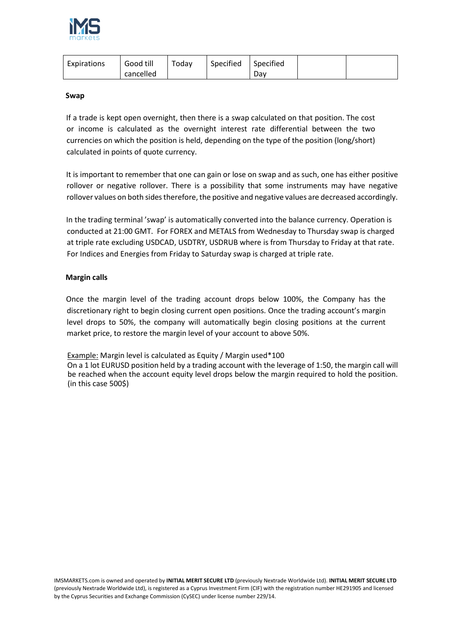

| Expirations | Good till | Today | Specified | Specified |  |
|-------------|-----------|-------|-----------|-----------|--|
|             | cancelled |       |           | Dav       |  |

#### **Swap**

If a trade is kept open overnight, then there is a swap calculated on that position. The cost or income is calculated as the overnight interest rate differential between the two currencies on which the position is held, depending on the type of the position (long/short) calculated in points of quote currency.

It is important to remember that one can gain or lose on swap and as such, one has either positive rollover or negative rollover. There is a possibility that some instruments may have negative rollover values on both sides therefore, the positive and negative values are decreased accordingly.

In the trading terminal 'swap' is automatically converted into the balance currency. Operation is conducted at 21:00 GMT. For FOREX and METALS from Wednesday to Thursday swap is charged at triple rate excluding USDCAD, USDTRY, USDRUB where is from Thursday to Friday at that rate. For Indices and Energies from Friday to Saturday swap is charged at triple rate.

### **Margin calls**

Once the margin level of the trading account drops below 100%, the Company has the discretionary right to begin closing current open positions. Once the trading account's margin level drops to 50%, the company will automatically begin closing positions at the current market price, to restore the margin level of your account to above 50%.

Example: Margin level is calculated as Equity / Margin used\*100

On a 1 lot EURUSD position held by a trading account with the leverage of 1:50, the margin call will be reached when the account equity level drops below the margin required to hold the position. (in this case 500\$)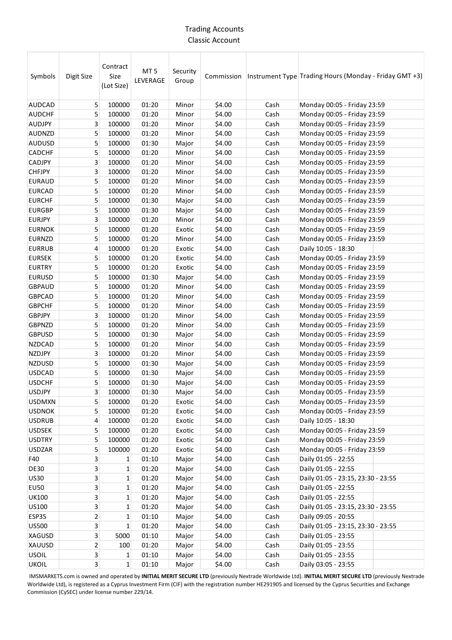## Trading Accounts Classic Account

| Symbols       | Digit Size              | Contract<br>Size<br>(Lot Size) | MT <sub>5</sub><br>LEVERAGE | Security<br>Group |        |      | Commission   Instrument Type   Trading Hours (Monday - Friday GMT +3) |
|---------------|-------------------------|--------------------------------|-----------------------------|-------------------|--------|------|-----------------------------------------------------------------------|
| <b>AUDCAD</b> | 5                       | 100000                         | 01:20                       | Minor             | \$4.00 | Cash | Monday 00:05 - Friday 23:59                                           |
| <b>AUDCHF</b> | 5                       | 100000                         | 01:20                       | Minor             | \$4.00 | Cash | Monday 00:05 - Friday 23:59                                           |
| <b>AUDJPY</b> | 3                       | 100000                         | 01:20                       | Minor             | \$4.00 | Cash | Monday 00:05 - Friday 23:59                                           |
| <b>AUDNZD</b> | 5                       | 100000                         | 01:20                       | Minor             | \$4.00 | Cash | Monday 00:05 - Friday 23:59                                           |
| <b>AUDUSD</b> | 5                       | 100000                         | 01:30                       | Major             | \$4.00 | Cash | Monday 00:05 - Friday 23:59                                           |
| CADCHF        | 5                       | 100000                         | 01:20                       | Minor             | \$4.00 | Cash | Monday 00:05 - Friday 23:59                                           |
| CADJPY        | 3                       | 100000                         | 01:20                       | Minor             | \$4.00 | Cash | Monday 00:05 - Friday 23:59                                           |
| <b>CHFJPY</b> | 3                       | 100000                         | 01:20                       | Minor             | \$4.00 | Cash | Monday 00:05 - Friday 23:59                                           |
| <b>EURAUD</b> | 5                       | 100000                         | 01:20                       | Minor             | \$4.00 | Cash | Monday 00:05 - Friday 23:59                                           |
| <b>EURCAD</b> | 5                       | 100000                         | 01:20                       | Minor             | \$4.00 | Cash | Monday 00:05 - Friday 23:59                                           |
| <b>EURCHF</b> | 5                       | 100000                         | 01:30                       | Major             | \$4.00 | Cash | Monday 00:05 - Friday 23:59                                           |
| <b>EURGBP</b> | 5                       | 100000                         | 01:30                       | Major             | \$4.00 | Cash | Monday 00:05 - Friday 23:59                                           |
| <b>EURJPY</b> | 3                       | 100000                         | 01:20                       | Minor             | \$4.00 | Cash | Monday 00:05 - Friday 23:59                                           |
| <b>EURNOK</b> | 5                       | 100000                         | 01:20                       | Exotic            | \$4.00 | Cash | Monday 00:05 - Friday 23:59                                           |
| EURNZD        | 5                       | 100000                         | 01:20                       | Minor             | \$4.00 | Cash | Monday 00:05 - Friday 23:59                                           |
| <b>EURRUB</b> | 4                       | 100000                         | 01:20                       | Exotic            | \$4.00 | Cash | Daily 10:05 - 18:30                                                   |
| <b>EURSEK</b> | 5                       | 100000                         | 01:20                       | Exotic            | \$4.00 | Cash | Monday 00:05 - Friday 23:59                                           |
| <b>EURTRY</b> | 5                       | 100000                         | 01:20                       | Exotic            | \$4.00 | Cash | Monday 00:05 - Friday 23:59                                           |
| <b>EURUSD</b> | 5                       | 100000                         | 01:30                       | Major             | \$4.00 | Cash | Monday 00:05 - Friday 23:59                                           |
| <b>GBPAUD</b> | 5                       | 100000                         | 01:20                       | Minor             | \$4.00 | Cash | Monday 00:05 - Friday 23:59                                           |
| <b>GBPCAD</b> | 5                       | 100000                         | 01:20                       | Minor             | \$4.00 | Cash | Monday 00:05 - Friday 23:59                                           |
| <b>GBPCHF</b> | 5                       | 100000                         | 01:20                       | Minor             | \$4.00 | Cash | Monday 00:05 - Friday 23:59                                           |
| <b>GBPJPY</b> | 3                       | 100000                         | 01:20                       | Minor             | \$4.00 | Cash | Monday 00:05 - Friday 23:59                                           |
| <b>GBPNZD</b> | 5                       | 100000                         | 01:20                       | Minor             | \$4.00 | Cash | Monday 00:05 - Friday 23:59                                           |
| <b>GBPUSD</b> | 5                       | 100000                         | 01:30                       | Major             | \$4.00 | Cash | Monday 00:05 - Friday 23:59                                           |
| <b>NZDCAD</b> | 5                       | 100000                         | 01:20                       | Minor             | \$4.00 | Cash | Monday 00:05 - Friday 23:59                                           |
| <b>NZDJPY</b> | 3                       | 100000                         | 01:20                       | Minor             | \$4.00 | Cash | Monday 00:05 - Friday 23:59                                           |
| <b>NZDUSD</b> | 5                       | 100000                         | 01:30                       | Major             | \$4.00 | Cash | Monday 00:05 - Friday 23:59                                           |
| <b>USDCAD</b> | 5                       | 100000                         | 01:30                       | Major             | \$4.00 | Cash | Monday 00:05 - Friday 23:59                                           |
| <b>USDCHF</b> | 5                       | 100000                         | 01:30                       | Major             | \$4.00 | Cash | Monday 00:05 - Friday 23:59                                           |
| <b>USDJPY</b> | $\overline{3}$          | 100000                         | 01:30                       | Major             | \$4.00 | Cash | Monday 00:05 - Friday 23:59                                           |
| <b>USDMXN</b> | 5                       | 100000                         | 01:20                       | Exotic            | \$4.00 | Cash | Monday 00:05 - Friday 23:59                                           |
| <b>USDNOK</b> | 5                       | 100000                         | 01:20                       | Exotic            | \$4.00 | Cash | Monday 00:05 - Friday 23:59                                           |
| <b>USDRUB</b> | 4                       | 100000                         | 01:20                       | Exotic            | \$4.00 | Cash | Daily 10:05 - 18:30                                                   |
| <b>USDSEK</b> | 5                       | 100000                         | 01:20                       | Exotic            | \$4.00 | Cash | Monday 00:05 - Friday 23:59                                           |
| <b>USDTRY</b> | 5                       | 100000                         | 01:20                       | Exotic            | \$4.00 | Cash | Monday 00:05 - Friday 23:59                                           |
| <b>USDZAR</b> | 5                       | 100000                         | 01:20                       | Exotic            | \$4.00 | Cash | Monday 00:05 - Friday 23:59                                           |
| F40           | 3                       | $\mathbf{1}$                   | 01:10                       | Major             | \$4.00 | Cash | Daily 01:05 - 22:55                                                   |
| <b>DE30</b>   | 3                       | $\mathbf{1}$                   | 01:20                       | Major             | \$4.00 | Cash | Daily 01:05 - 22:55                                                   |
| <b>US30</b>   | 3                       | $\mathbf{1}$                   | 01:20                       | Major             | \$4.00 | Cash | Daily 01:05 - 23:15, 23:30 - 23:55                                    |
| <b>EU50</b>   | 3                       | 1                              | 01:20                       | Major             | \$4.00 | Cash | Daily 01:05 - 22:55                                                   |
| <b>UK100</b>  | 3                       | 1                              | 01:20                       | Major             | \$4.00 | Cash | Daily 01:05 - 22:55                                                   |
| US100         | 3                       | 1                              | 01:20                       | Major             | \$4.00 | Cash | Daily 01:05 - 23:15, 23:30 - 23:55                                    |
| ESP35         | $\overline{2}$          | $\mathbf{1}$                   | 01:10                       | Major             | \$4.00 | Cash | Daily 09:05 - 20:55                                                   |
| <b>US500</b>  | 3                       | $\mathbf{1}$                   | 01:20                       | Major             | \$4.00 | Cash | Daily 01:05 - 23:15, 23:30 - 23:55                                    |
| XAGUSD        | 3                       | 5000                           | 01:10                       | Major             | \$4.00 | Cash | Daily 01:05 - 23:55                                                   |
| XAUUSD        | $\overline{2}$          | 100                            | 01:20                       | Major             | \$4.00 | Cash | Daily 01:05 - 23:55                                                   |
| <b>USOIL</b>  | $\mathbf{3}$            | $\mathbf{1}$                   | 01:10                       | Major             | \$4.00 | Cash | Daily 01:05 - 23:55                                                   |
| <b>UKOIL</b>  | $\overline{\mathbf{3}}$ | $\mathbf{1}$                   | 01:10                       | Major             | \$4.00 | Cash | Daily 03:05 - 23:55                                                   |
|               |                         |                                |                             |                   |        |      |                                                                       |

IMSMARKETS.com is owned and operated by **INITIAL MERIT SECURE LTD** (previously Nextrade Worldwide Ltd). **INITIAL MERIT SECURE LTD** (previously Nextrade Worldwide Ltd), is registered as a Cyprus Investment Firm (CIF) with the registration number HE291905 and licensed by the Cyprus Securities and Exchange Commission (CySEC) under license number 229/14.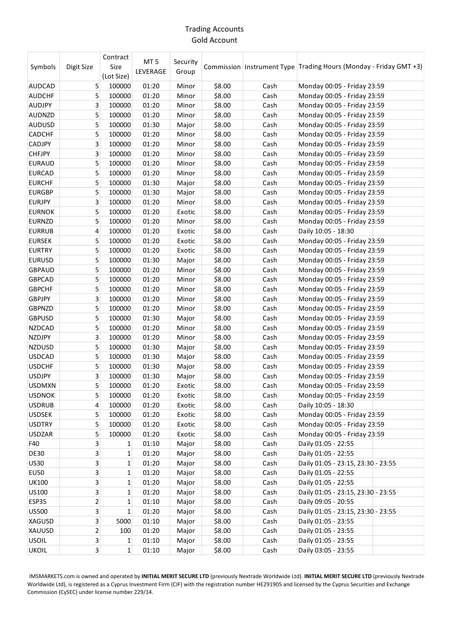# Trading Accounts Gold Account

| (Lot Size)<br>\$8.00<br>Cash<br><b>AUDCAD</b><br>5<br>100000<br>01:20<br>Monday 00:05 - Friday 23:59<br>Minor<br>\$8.00<br>01:20<br>Cash<br><b>AUDCHF</b><br>5<br>100000<br>Minor<br>Monday 00:05 - Friday 23:59<br>3<br>AUDJPY<br>100000<br>01:20<br>Minor<br>\$8.00<br>Cash<br>Monday 00:05 - Friday 23:59<br>5<br>AUDNZD<br>100000<br>01:20<br>\$8.00<br>Cash<br>Monday 00:05 - Friday 23:59<br>Minor |  |
|----------------------------------------------------------------------------------------------------------------------------------------------------------------------------------------------------------------------------------------------------------------------------------------------------------------------------------------------------------------------------------------------------------|--|
|                                                                                                                                                                                                                                                                                                                                                                                                          |  |
|                                                                                                                                                                                                                                                                                                                                                                                                          |  |
|                                                                                                                                                                                                                                                                                                                                                                                                          |  |
|                                                                                                                                                                                                                                                                                                                                                                                                          |  |
| <b>AUDUSD</b><br>5<br>100000<br>\$8.00<br>Cash<br>Monday 00:05 - Friday 23:59<br>01:30<br>Major                                                                                                                                                                                                                                                                                                          |  |
| 5<br>CADCHF<br>100000<br>01:20<br>\$8.00<br>Cash<br>Monday 00:05 - Friday 23:59<br>Minor                                                                                                                                                                                                                                                                                                                 |  |
| 3<br>100000<br>\$8.00<br>CADJPY<br>01:20<br>Minor<br>Cash<br>Monday 00:05 - Friday 23:59                                                                                                                                                                                                                                                                                                                 |  |
| 3<br><b>CHFJPY</b><br>100000<br>\$8.00<br>Cash<br>01:20<br>Minor<br>Monday 00:05 - Friday 23:59                                                                                                                                                                                                                                                                                                          |  |
| 5<br>\$8.00<br><b>EURAUD</b><br>100000<br>01:20<br>Minor<br>Cash<br>Monday 00:05 - Friday 23:59                                                                                                                                                                                                                                                                                                          |  |
| 5<br>\$8.00<br>Cash<br><b>EURCAD</b><br>100000<br>01:20<br>Minor<br>Monday 00:05 - Friday 23:59                                                                                                                                                                                                                                                                                                          |  |
| 5<br>Cash<br><b>EURCHF</b><br>100000<br>01:30<br>\$8.00<br>Monday 00:05 - Friday 23:59<br>Major                                                                                                                                                                                                                                                                                                          |  |
| 5<br><b>EURGBP</b><br>100000<br>01:30<br>\$8.00<br>Cash<br>Monday 00:05 - Friday 23:59<br>Major                                                                                                                                                                                                                                                                                                          |  |
| <b>EURJPY</b><br>3<br>100000<br>01:20<br>\$8.00<br>Cash<br>Minor<br>Monday 00:05 - Friday 23:59                                                                                                                                                                                                                                                                                                          |  |
| 5<br><b>EURNOK</b><br>100000<br>01:20<br>\$8.00<br>Cash<br>Exotic<br>Monday 00:05 - Friday 23:59                                                                                                                                                                                                                                                                                                         |  |
| 5<br>100000<br>\$8.00<br><b>EURNZD</b><br>01:20<br>Minor<br>Cash<br>Monday 00:05 - Friday 23:59                                                                                                                                                                                                                                                                                                          |  |
| 4<br>100000<br>\$8.00<br>Cash<br>Daily 10:05 - 18:30<br><b>EURRUB</b><br>01:20<br>Exotic                                                                                                                                                                                                                                                                                                                 |  |
| 5<br><b>EURSEK</b><br>100000<br>01:20<br>\$8.00<br>Cash<br>Monday 00:05 - Friday 23:59<br>Exotic                                                                                                                                                                                                                                                                                                         |  |
| 5<br>\$8.00<br>Cash<br><b>EURTRY</b><br>100000<br>01:20<br>Exotic<br>Monday 00:05 - Friday 23:59                                                                                                                                                                                                                                                                                                         |  |
| 5<br>\$8.00<br><b>EURUSD</b><br>100000<br>01:30<br>Major<br>Cash<br>Monday 00:05 - Friday 23:59                                                                                                                                                                                                                                                                                                          |  |
| 5<br>\$8.00<br>Cash<br>Monday 00:05 - Friday 23:59<br><b>GBPAUD</b><br>100000<br>01:20<br>Minor                                                                                                                                                                                                                                                                                                          |  |
| 5<br>100000<br>01:20<br>\$8.00<br>Monday 00:05 - Friday 23:59<br><b>GBPCAD</b><br>Minor<br>Cash                                                                                                                                                                                                                                                                                                          |  |
| <b>GBPCHF</b><br>5<br>100000<br>01:20<br>\$8.00<br>Cash<br>Monday 00:05 - Friday 23:59<br>Minor                                                                                                                                                                                                                                                                                                          |  |
| 3<br>100000<br>\$8.00<br><b>GBPJPY</b><br>01:20<br>Cash<br>Monday 00:05 - Friday 23:59<br>Minor                                                                                                                                                                                                                                                                                                          |  |
| 5<br>100000<br>\$8.00<br><b>GBPNZD</b><br>01:20<br>Minor<br>Cash<br>Monday 00:05 - Friday 23:59                                                                                                                                                                                                                                                                                                          |  |
| 5<br>\$8.00<br><b>GBPUSD</b><br>100000<br>01:30<br>Cash<br>Monday 00:05 - Friday 23:59<br>Major                                                                                                                                                                                                                                                                                                          |  |
| 5<br>\$8.00<br>Cash<br><b>NZDCAD</b><br>100000<br>01:20<br>Minor<br>Monday 00:05 - Friday 23:59                                                                                                                                                                                                                                                                                                          |  |
| 3<br>\$8.00<br>NZDJPY<br>100000<br>01:20<br>Cash<br>Monday 00:05 - Friday 23:59<br>Minor                                                                                                                                                                                                                                                                                                                 |  |
| 5<br><b>NZDUSD</b><br>100000<br>01:30<br>\$8.00<br>Cash<br>Monday 00:05 - Friday 23:59<br>Major                                                                                                                                                                                                                                                                                                          |  |
| 5<br><b>USDCAD</b><br>100000<br>01:30<br>\$8.00<br>Cash<br>Monday 00:05 - Friday 23:59<br>Major                                                                                                                                                                                                                                                                                                          |  |
| <b>USDCHF</b><br>5<br>100000<br>\$8.00<br>Cash<br>01:30<br>Monday 00:05 - Friday 23:59<br>Major                                                                                                                                                                                                                                                                                                          |  |
| 3<br>100000<br>\$8.00<br><b>USDJPY</b><br>01:30<br>Cash<br>Monday 00:05 - Friday 23:59<br>Major                                                                                                                                                                                                                                                                                                          |  |
| 5<br>\$8.00<br><b>USDMXN</b><br>100000<br>01:20<br>Cash<br>Monday 00:05 - Friday 23:59<br>Exotic                                                                                                                                                                                                                                                                                                         |  |
| 5<br><b>USDNOK</b><br>100000<br>01:20<br>\$8.00<br>Cash<br>Monday 00:05 - Friday 23:59<br>Exotic                                                                                                                                                                                                                                                                                                         |  |
| \$8.00<br><b>USDRUB</b><br>100000<br>01:20<br>Exotic<br>Cash<br>Daily 10:05 - 18:30<br>4                                                                                                                                                                                                                                                                                                                 |  |
| 5<br>100000<br>01:20<br>\$8.00<br>Cash<br><b>USDSEK</b><br>Exotic<br>Monday 00:05 - Friday 23:59                                                                                                                                                                                                                                                                                                         |  |
| 5<br>\$8.00<br>Cash<br>Monday 00:05 - Friday 23:59<br><b>USDTRY</b><br>100000<br>01:20<br>Exotic                                                                                                                                                                                                                                                                                                         |  |
| 5<br><b>USDZAR</b><br>100000<br>01:20<br>\$8.00<br>Cash<br>Monday 00:05 - Friday 23:59<br>Exotic                                                                                                                                                                                                                                                                                                         |  |
| 3<br>\$8.00<br>Cash<br>Daily 01:05 - 22:55<br>F40<br>01:10<br>Major<br>1                                                                                                                                                                                                                                                                                                                                 |  |
| 3<br>\$8.00<br><b>DE30</b><br>01:20<br>Cash<br>Daily 01:05 - 22:55<br>1<br>Major                                                                                                                                                                                                                                                                                                                         |  |
| 3<br>\$8.00<br><b>US30</b><br>1<br>01:20<br>Cash<br>Daily 01:05 - 23:15, 23:30 - 23:55<br>Major                                                                                                                                                                                                                                                                                                          |  |
| 3<br>$\mathbf{1}$<br>\$8.00<br><b>EU50</b><br>01:20<br>Cash<br>Daily 01:05 - 22:55<br>Major                                                                                                                                                                                                                                                                                                              |  |
| 3<br>\$8.00<br><b>UK100</b><br>1<br>01:20<br>Cash<br>Daily 01:05 - 22:55<br>Major                                                                                                                                                                                                                                                                                                                        |  |
| 3<br>US100<br>01:20<br>\$8.00<br>Cash<br>Daily 01:05 - 23:15, 23:30 - 23:55<br>1<br>Major                                                                                                                                                                                                                                                                                                                |  |
| $\overline{2}$<br>ESP35<br>\$8.00<br>Cash<br>1<br>01:10<br>Major<br>Daily 09:05 - 20:55                                                                                                                                                                                                                                                                                                                  |  |
| 3<br><b>US500</b><br>$\mathbf{1}$<br>01:20<br>\$8.00<br>Cash<br>Daily 01:05 - 23:15, 23:30 - 23:55<br>Major                                                                                                                                                                                                                                                                                              |  |
| 3<br>XAGUSD<br>01:10<br>\$8.00<br>Daily 01:05 - 23:55<br>5000<br>Major<br>Cash                                                                                                                                                                                                                                                                                                                           |  |
| XAUUSD<br>2<br>01:20<br>\$8.00<br>Cash<br>Daily 01:05 - 23:55<br>100<br>Major                                                                                                                                                                                                                                                                                                                            |  |
| $\overline{\mathbf{3}}$<br><b>USOIL</b><br>\$8.00<br>Daily 01:05 - 23:55<br>1<br>01:10<br>Cash<br>Major                                                                                                                                                                                                                                                                                                  |  |
| $\overline{\mathbf{3}}$<br><b>UKOIL</b><br>$\mathbf{1}$<br>01:10<br>\$8.00<br>Daily 03:05 - 23:55<br>Major<br>Cash                                                                                                                                                                                                                                                                                       |  |

IMSMARKETS.com is owned and operated by **INITIAL MERIT SECURE LTD** (previously Nextrade Worldwide Ltd). **INITIAL MERIT SECURE LTD** (previously Nextrade Worldwide Ltd), is registered as a Cyprus Investment Firm (CIF) with the registration number HE291905 and licensed by the Cyprus Securities and Exchange Commission (CySEC) under license number 229/14.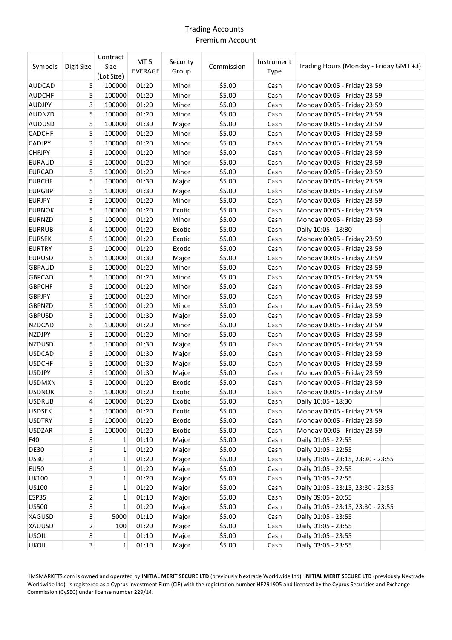# Trading Accounts Premium Account

| Symbols       | Digit Size              | Contract<br>Size<br>(Lot Size) | MT <sub>5</sub><br>LEVERAGE | Security<br>Group | Commission | Instrument<br>Type | Trading Hours (Monday - Friday GMT +3) |
|---------------|-------------------------|--------------------------------|-----------------------------|-------------------|------------|--------------------|----------------------------------------|
| <b>AUDCAD</b> | 5                       | 100000                         | 01:20                       | Minor             | \$5.00     | Cash               | Monday 00:05 - Friday 23:59            |
| <b>AUDCHF</b> | 5                       | 100000                         | 01:20                       | Minor             | \$5.00     | Cash               | Monday 00:05 - Friday 23:59            |
| AUDJPY        | 3                       | 100000                         | 01:20                       | Minor             | \$5.00     | Cash               | Monday 00:05 - Friday 23:59            |
| <b>AUDNZD</b> | 5                       | 100000                         | 01:20                       | Minor             | \$5.00     | Cash               | Monday 00:05 - Friday 23:59            |
| <b>AUDUSD</b> | 5                       | 100000                         | 01:30                       | Major             | \$5.00     | Cash               | Monday 00:05 - Friday 23:59            |
| <b>CADCHF</b> | 5                       | 100000                         | 01:20                       | Minor             | \$5.00     | Cash               | Monday 00:05 - Friday 23:59            |
| <b>CADJPY</b> | 3                       | 100000                         | 01:20                       | Minor             | \$5.00     | Cash               | Monday 00:05 - Friday 23:59            |
| <b>CHFJPY</b> | 3                       | 100000                         | 01:20                       | Minor             | \$5.00     | Cash               | Monday 00:05 - Friday 23:59            |
| <b>EURAUD</b> | 5                       | 100000                         | 01:20                       | Minor             | \$5.00     | Cash               | Monday 00:05 - Friday 23:59            |
| <b>EURCAD</b> | 5                       | 100000                         | 01:20                       | Minor             | \$5.00     | Cash               | Monday 00:05 - Friday 23:59            |
| <b>EURCHF</b> | 5                       | 100000                         | 01:30                       | Major             | \$5.00     | Cash               | Monday 00:05 - Friday 23:59            |
| <b>EURGBP</b> | 5                       | 100000                         | 01:30                       | Major             | \$5.00     | Cash               | Monday 00:05 - Friday 23:59            |
| <b>EURJPY</b> | 3                       | 100000                         | 01:20                       | Minor             | \$5.00     | Cash               | Monday 00:05 - Friday 23:59            |
| <b>EURNOK</b> | 5                       | 100000                         | 01:20                       | Exotic            | \$5.00     | Cash               | Monday 00:05 - Friday 23:59            |
| <b>EURNZD</b> | 5                       | 100000                         | 01:20                       | Minor             | \$5.00     | Cash               | Monday 00:05 - Friday 23:59            |
| <b>EURRUB</b> | 4                       | 100000                         | 01:20                       | Exotic            | \$5.00     | Cash               | Daily 10:05 - 18:30                    |
| <b>EURSEK</b> | 5                       | 100000                         | 01:20                       | Exotic            | \$5.00     | Cash               | Monday 00:05 - Friday 23:59            |
| <b>EURTRY</b> | 5                       | 100000                         | 01:20                       | Exotic            | \$5.00     | Cash               | Monday 00:05 - Friday 23:59            |
| <b>EURUSD</b> | 5                       | 100000                         | 01:30                       | Major             | \$5.00     | Cash               | Monday 00:05 - Friday 23:59            |
| <b>GBPAUD</b> | 5                       | 100000                         | 01:20                       | Minor             | \$5.00     | Cash               | Monday 00:05 - Friday 23:59            |
| <b>GBPCAD</b> | 5                       | 100000                         | 01:20                       | Minor             | \$5.00     | Cash               | Monday 00:05 - Friday 23:59            |
| <b>GBPCHF</b> | 5                       | 100000                         | 01:20                       | Minor             | \$5.00     | Cash               | Monday 00:05 - Friday 23:59            |
| <b>GBPJPY</b> | 3                       | 100000                         | 01:20                       | Minor             | \$5.00     | Cash               | Monday 00:05 - Friday 23:59            |
| GBPNZD        | 5                       | 100000                         | 01:20                       | Minor             | \$5.00     | Cash               | Monday 00:05 - Friday 23:59            |
| <b>GBPUSD</b> | 5                       | 100000                         | 01:30                       | Major             | \$5.00     | Cash               | Monday 00:05 - Friday 23:59            |
| <b>NZDCAD</b> | 5                       | 100000                         | 01:20                       | Minor             | \$5.00     | Cash               | Monday 00:05 - Friday 23:59            |
| NZDJPY        | 3                       | 100000                         | 01:20                       | Minor             | \$5.00     | Cash               | Monday 00:05 - Friday 23:59            |
| <b>NZDUSD</b> | 5                       | 100000                         | 01:30                       | Major             | \$5.00     | Cash               | Monday 00:05 - Friday 23:59            |
| <b>USDCAD</b> | 5                       | 100000                         | 01:30                       | Major             | \$5.00     | Cash               | Monday 00:05 - Friday 23:59            |
| <b>USDCHF</b> | 5                       | 100000                         | 01:30                       | Major             | \$5.00     | Cash               | Monday 00:05 - Friday 23:59            |
| <b>USDJPY</b> | 3                       | 100000                         | 01:30                       | Major             | \$5.00     | Cash               | Monday 00:05 - Friday 23:59            |
| <b>USDMXN</b> | 5                       | 100000                         | 01:20                       | Exotic            | \$5.00     | Cash               | Monday 00:05 - Friday 23:59            |
| <b>USDNOK</b> | 5                       | 100000                         | 01:20                       | Exotic            | \$5.00     | Cash               | Monday 00:05 - Friday 23:59            |
| <b>USDRUB</b> | 4                       | 100000                         | 01:20                       | Exotic            | \$5.00     | Cash               | Daily 10:05 - 18:30                    |
| <b>USDSEK</b> | 5                       | 100000                         | 01:20                       | Exotic            | \$5.00     | Cash               | Monday 00:05 - Friday 23:59            |
| <b>USDTRY</b> | 5                       | 100000                         | 01:20                       | Exotic            | \$5.00     | Cash               | Monday 00:05 - Friday 23:59            |
| <b>USDZAR</b> | 5                       | 100000                         | 01:20                       | Exotic            | \$5.00     | Cash               | Monday 00:05 - Friday 23:59            |
| F40           | 3                       | 1                              | 01:10                       | Major             | \$5.00     | Cash               | Daily 01:05 - 22:55                    |
| <b>DE30</b>   | 3                       | 1                              | 01:20                       | Major             | \$5.00     | Cash               | Daily 01:05 - 22:55                    |
| <b>US30</b>   | $\overline{\mathbf{3}}$ | 1                              | 01:20                       | Major             | \$5.00     | Cash               | Daily 01:05 - 23:15, 23:30 - 23:55     |
| <b>EU50</b>   | 3                       | 1                              | 01:20                       | Major             | \$5.00     | Cash               | Daily 01:05 - 22:55                    |
| <b>UK100</b>  | $\overline{\mathbf{3}}$ | 1                              | 01:20                       | Major             | \$5.00     | Cash               | Daily 01:05 - 22:55                    |
| US100         | $\overline{\mathbf{3}}$ | 1                              | 01:20                       | Major             | \$5.00     | Cash               | Daily 01:05 - 23:15, 23:30 - 23:55     |
| ESP35         | $\overline{2}$          | 1                              | 01:10                       | Major             | \$5.00     | Cash               | Daily 09:05 - 20:55                    |
| <b>US500</b>  | 3                       | 1                              | 01:20                       | Major             | \$5.00     | Cash               | Daily 01:05 - 23:15, 23:30 - 23:55     |
| XAGUSD        | 3                       | 5000                           | 01:10                       | Major             | \$5.00     | Cash               | Daily 01:05 - 23:55                    |
| XAUUSD        | $\overline{2}$          | 100                            | 01:20                       | Major             | \$5.00     | Cash               | Daily 01:05 - 23:55                    |
| <b>USOIL</b>  | $\overline{\mathbf{3}}$ | 1                              | 01:10                       | Major             | \$5.00     | Cash               | Daily 01:05 - 23:55                    |
| <b>UKOIL</b>  | 3                       | 1                              | 01:10                       | Major             | \$5.00     | Cash               | Daily 03:05 - 23:55                    |
|               |                         |                                |                             |                   |            |                    |                                        |

IMSMARKETS.com is owned and operated by **INITIAL MERIT SECURE LTD** (previously Nextrade Worldwide Ltd). **INITIAL MERIT SECURE LTD** (previously Nextrade Worldwide Ltd), is registered as a Cyprus Investment Firm (CIF) with the registration number HE291905 and licensed by the Cyprus Securities and Exchange Commission (CySEC) under license number 229/14.